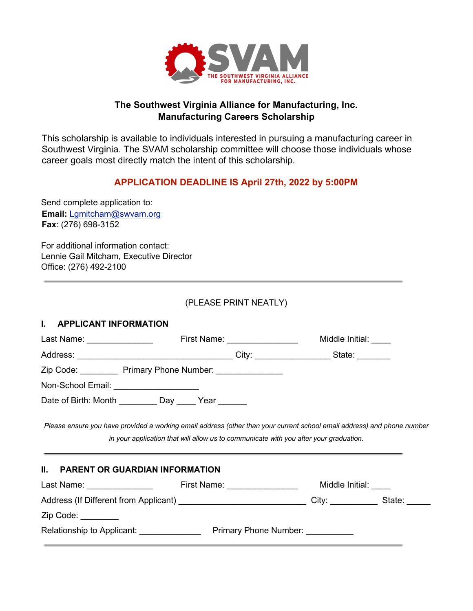

# **The Southwest Virginia Alliance for Manufacturing, Inc. Manufacturing Careers Scholarship**

This scholarship is available to individuals interested in pursuing a manufacturing career in Southwest Virginia. The SVAM scholarship committee will choose those individuals whose career goals most directly match the intent of this scholarship.

# **APPLICATION DEADLINE IS April 27th, 2022 by 5:00PM**

Send complete application to: **Email:** Lgmitcham@swvam.org **Fax**: (276) 698-3152

For additional information contact: Lennie Gail Mitcham, Executive Director Office: (276) 492-2100

# (PLEASE PRINT NEATLY)

### **I. APPLICANT INFORMATION**

| Last Name: _________________                                                                              |  |  | Middle Initial: ____<br>First Name: _________________ |                       |  |
|-----------------------------------------------------------------------------------------------------------|--|--|-------------------------------------------------------|-----------------------|--|
|                                                                                                           |  |  |                                                       |                       |  |
| Zip Code: Primary Phone Number: 2001                                                                      |  |  |                                                       |                       |  |
| Non-School Email: _____________________                                                                   |  |  |                                                       |                       |  |
| Date of Birth: Month ___________ Day ______ Year _______                                                  |  |  |                                                       |                       |  |
| II. PARENT OR GUARDIAN INFORMATION                                                                        |  |  |                                                       |                       |  |
|                                                                                                           |  |  |                                                       | Middle Initial: _____ |  |
| Address (If Different from Applicant) __________________________________City: ______________State: ______ |  |  |                                                       |                       |  |
| Zip Code: _______                                                                                         |  |  |                                                       |                       |  |
| Relationship to Applicant: Primary Phone Number:                                                          |  |  |                                                       |                       |  |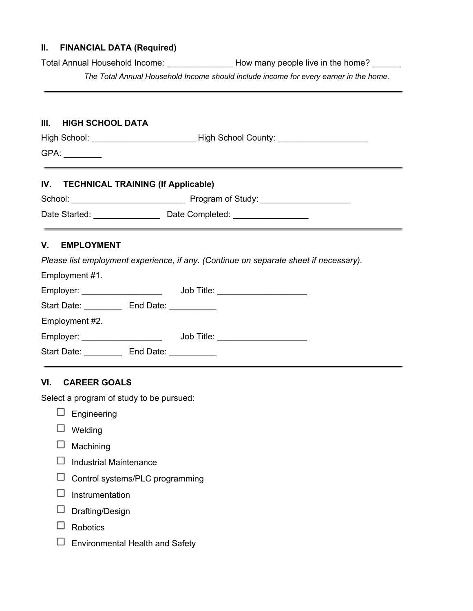#### **II. FINANCIAL DATA (Required)**

Total Annual Household Income: \_\_\_\_\_\_\_\_\_\_\_\_\_\_ How many people live in the home? \_\_\_\_\_\_

*The Total Annual Household Income should include income for every earner in the home.*

### **III. HIGH SCHOOL DATA**

High School: \_\_\_\_\_\_\_\_\_\_\_\_\_\_\_\_\_\_\_\_\_\_\_\_\_\_\_\_\_\_\_\_\_High School County: \_\_\_\_\_\_\_\_\_\_\_\_\_\_

GPA: \_\_\_\_\_\_\_\_

### **IV. TECHNICAL TRAINING (If Applicable)**

| School:       | Program of Study: |
|---------------|-------------------|
| Date Started: | Date Completed:   |

# **V. EMPLOYMENT**

Employment #1.

*Please list employment experience, if any. (Continue on separate sheet if necessary).*

|                     |                               | Job Title: ___________________  |
|---------------------|-------------------------------|---------------------------------|
|                     |                               |                                 |
|                     |                               |                                 |
| Employer: Employer: |                               | Job Title: ____________________ |
| End Date:           | and the state of the state of |                                 |
|                     |                               | End Date: $\_\_$                |

# **VI. CAREER GOALS**

Select a program of study to be pursued:

- $\square$  Engineering
- $\Box$  Welding
- $\Box$  Machining
- $\Box$  Industrial Maintenance
- $\Box$  Control systems/PLC programming
- $\Box$  Instrumentation
- $\Box$  Drafting/Design
- $\Box$  Robotics
- $\Box$  Environmental Health and Safety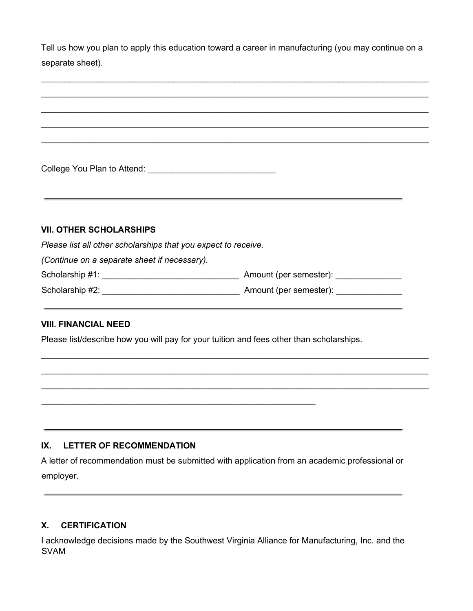Tell us how you plan to apply this education toward a career in manufacturing (you may continue on a separate sheet).

 $\mathcal{L}_\mathcal{L} = \mathcal{L}_\mathcal{L} = \mathcal{L}_\mathcal{L} = \mathcal{L}_\mathcal{L} = \mathcal{L}_\mathcal{L} = \mathcal{L}_\mathcal{L} = \mathcal{L}_\mathcal{L} = \mathcal{L}_\mathcal{L} = \mathcal{L}_\mathcal{L} = \mathcal{L}_\mathcal{L} = \mathcal{L}_\mathcal{L} = \mathcal{L}_\mathcal{L} = \mathcal{L}_\mathcal{L} = \mathcal{L}_\mathcal{L} = \mathcal{L}_\mathcal{L} = \mathcal{L}_\mathcal{L} = \mathcal{L}_\mathcal{L}$  $\mathcal{L}_\mathcal{L} = \mathcal{L}_\mathcal{L} = \mathcal{L}_\mathcal{L} = \mathcal{L}_\mathcal{L} = \mathcal{L}_\mathcal{L} = \mathcal{L}_\mathcal{L} = \mathcal{L}_\mathcal{L} = \mathcal{L}_\mathcal{L} = \mathcal{L}_\mathcal{L} = \mathcal{L}_\mathcal{L} = \mathcal{L}_\mathcal{L} = \mathcal{L}_\mathcal{L} = \mathcal{L}_\mathcal{L} = \mathcal{L}_\mathcal{L} = \mathcal{L}_\mathcal{L} = \mathcal{L}_\mathcal{L} = \mathcal{L}_\mathcal{L}$  $\mathcal{L}_\mathcal{L} = \mathcal{L}_\mathcal{L} = \mathcal{L}_\mathcal{L} = \mathcal{L}_\mathcal{L} = \mathcal{L}_\mathcal{L} = \mathcal{L}_\mathcal{L} = \mathcal{L}_\mathcal{L} = \mathcal{L}_\mathcal{L} = \mathcal{L}_\mathcal{L} = \mathcal{L}_\mathcal{L} = \mathcal{L}_\mathcal{L} = \mathcal{L}_\mathcal{L} = \mathcal{L}_\mathcal{L} = \mathcal{L}_\mathcal{L} = \mathcal{L}_\mathcal{L} = \mathcal{L}_\mathcal{L} = \mathcal{L}_\mathcal{L}$ 

 $\mathcal{L}_\mathcal{L} = \mathcal{L}_\mathcal{L} = \mathcal{L}_\mathcal{L} = \mathcal{L}_\mathcal{L} = \mathcal{L}_\mathcal{L} = \mathcal{L}_\mathcal{L} = \mathcal{L}_\mathcal{L} = \mathcal{L}_\mathcal{L} = \mathcal{L}_\mathcal{L} = \mathcal{L}_\mathcal{L} = \mathcal{L}_\mathcal{L} = \mathcal{L}_\mathcal{L} = \mathcal{L}_\mathcal{L} = \mathcal{L}_\mathcal{L} = \mathcal{L}_\mathcal{L} = \mathcal{L}_\mathcal{L} = \mathcal{L}_\mathcal{L}$ 

College You Plan to Attend: \_\_\_\_\_\_\_\_\_\_\_\_\_\_\_\_\_\_\_\_\_\_\_\_\_\_\_

### **VII. OTHER SCHOLARSHIPS**

*Please list all other scholarships that you expect to receive.*

*(Continue on a separate sheet if necessary).*

| Scholarship #1: | Amount (per semester): |
|-----------------|------------------------|
| Scholarship #2: | Amount (per semester): |

 $\mathcal{L}_\mathcal{L} = \mathcal{L}_\mathcal{L} = \mathcal{L}_\mathcal{L} = \mathcal{L}_\mathcal{L} = \mathcal{L}_\mathcal{L} = \mathcal{L}_\mathcal{L} = \mathcal{L}_\mathcal{L} = \mathcal{L}_\mathcal{L} = \mathcal{L}_\mathcal{L} = \mathcal{L}_\mathcal{L} = \mathcal{L}_\mathcal{L} = \mathcal{L}_\mathcal{L} = \mathcal{L}_\mathcal{L} = \mathcal{L}_\mathcal{L} = \mathcal{L}_\mathcal{L} = \mathcal{L}_\mathcal{L} = \mathcal{L}_\mathcal{L}$  $\_$  $\_$ 

#### **VIII. FINANCIAL NEED**

Please list/describe how you will pay for your tuition and fees other than scholarships.

 $\mathcal{L}_\text{max} = \mathcal{L}_\text{max} = \mathcal{L}_\text{max} = \mathcal{L}_\text{max} = \mathcal{L}_\text{max} = \mathcal{L}_\text{max} = \mathcal{L}_\text{max} = \mathcal{L}_\text{max} = \mathcal{L}_\text{max} = \mathcal{L}_\text{max} = \mathcal{L}_\text{max} = \mathcal{L}_\text{max} = \mathcal{L}_\text{max} = \mathcal{L}_\text{max} = \mathcal{L}_\text{max} = \mathcal{L}_\text{max} = \mathcal{L}_\text{max} = \mathcal{L}_\text{max} = \mathcal{$ 

### **IX. LETTER OF RECOMMENDATION**

A letter of recommendation must be submitted with application from an academic professional or employer.

#### **X. CERTIFICATION**

I acknowledge decisions made by the Southwest Virginia Alliance for Manufacturing, Inc. and the SVAM